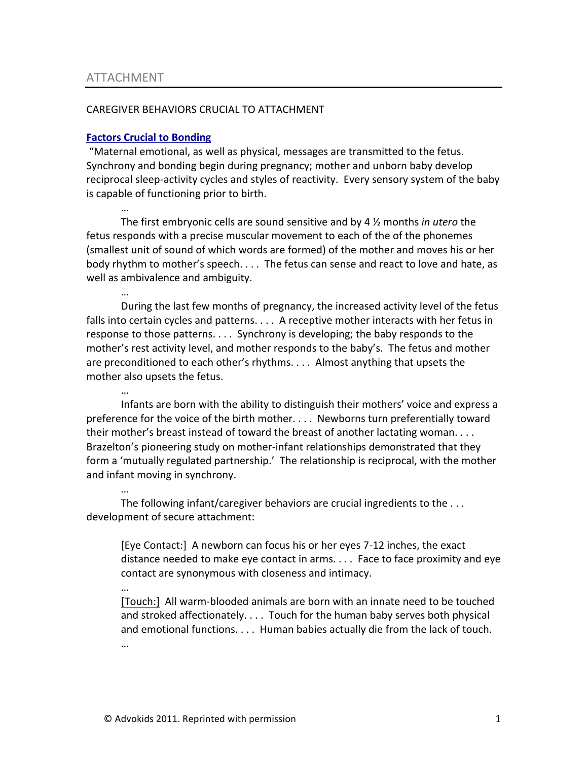…

…

…

…

## CAREGIVER BEHAVIORS CRUCIAL TO ATTACHMENT

## **Factors Crucial to Bonding**

"Maternal emotional, as well as physical, messages are transmitted to the fetus. Synchrony and bonding begin during pregnancy; mother and unborn baby develop reciprocal sleep-activity cycles and styles of reactivity. Every sensory system of the baby is capable of functioning prior to birth.

… The first embryonic cells are sound sensitive and by 4  $\frac{1}{2}$  months *in utero* the fetus responds with a precise muscular movement to each of the of the phonemes (smallest unit of sound of which words are formed) of the mother and moves his or her body rhythm to mother's speech. . . . The fetus can sense and react to love and hate, as well as ambivalence and ambiguity.

During the last few months of pregnancy, the increased activity level of the fetus falls into certain cycles and patterns.  $\dots$  A receptive mother interacts with her fetus in response to those patterns.  $\dots$  Synchrony is developing; the baby responds to the mother's rest activity level, and mother responds to the baby's. The fetus and mother are preconditioned to each other's rhythms.  $\dots$  Almost anything that upsets the mother also upsets the fetus.

Infants are born with the ability to distinguish their mothers' voice and express a preference for the voice of the birth mother. . . . Newborns turn preferentially toward their mother's breast instead of toward the breast of another lactating woman.  $\dots$ Brazelton's pioneering study on mother-infant relationships demonstrated that they form a 'mutually regulated partnership.' The relationship is reciprocal, with the mother and infant moving in synchrony.

The following infant/caregiver behaviors are crucial ingredients to the  $\dots$ development of secure attachment:

[Eye Contact:] A newborn can focus his or her eyes 7-12 inches, the exact distance needed to make eye contact in arms.  $\dots$  Face to face proximity and eye contact are synonymous with closeness and intimacy.

[Touch:] All warm-blooded animals are born with an innate need to be touched and stroked affectionately.  $\dots$  Touch for the human baby serves both physical and emotional functions.  $\dots$  Human babies actually die from the lack of touch. …